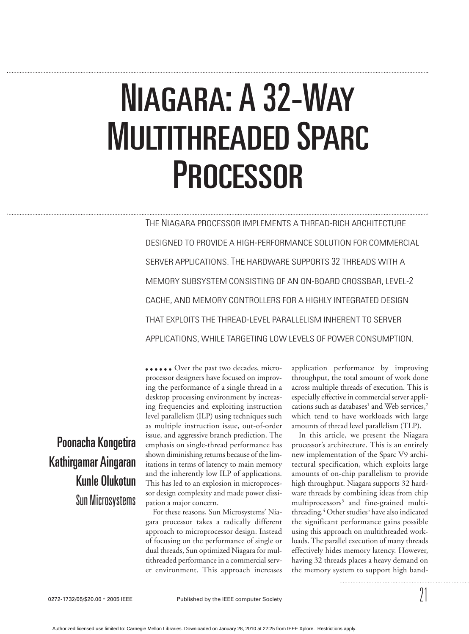# NIAGARA: A 32-WAY MULTITHREADED SPARC **PROCESSOR**

THE NIAGARA PROCESSOR IMPLEMENTS A THREAD-RICH ARCHITECTURE DESIGNED TO PROVIDE A HIGH-PERFORMANCE SOLUTION FOR COMMERCIAL SERVER APPLICATIONS. THE HARDWARE SUPPORTS 32 THREADS WITH A MEMORY SUBSYSTEM CONSISTING OF AN ON-BOARD CROSSBAR, LEVEL-2 CACHE, AND MEMORY CONTROLLERS FOR A HIGHLY INTEGRATED DESIGN THAT EXPLOITS THE THREAD-LEVEL PARALLELISM INHERENT TO SERVER APPLICATIONS, WHILE TARGETING LOW LEVELS OF POWER CONSUMPTION.

Over the past two decades, microprocessor designers have focused on improving the performance of a single thread in a desktop processing environment by increasing frequencies and exploiting instruction level parallelism (ILP) using techniques such as multiple instruction issue, out-of-order issue, and aggressive branch prediction. The emphasis on single-thread performance has shown diminishing returns because of the limitations in terms of latency to main memory and the inherently low ILP of applications. This has led to an explosion in microprocessor design complexity and made power dissipation a major concern.

For these reasons, Sun Microsystems' Niagara processor takes a radically different approach to microprocessor design. Instead of focusing on the performance of single or dual threads, Sun optimized Niagara for multithreaded performance in a commercial server environment. This approach increases

application performance by improving throughput, the total amount of work done across multiple threads of execution. This is especially effective in commercial server applications such as databases<sup>1</sup> and Web services.<sup>2</sup> which tend to have workloads with large amounts of thread level parallelism (TLP).

In this article, we present the Niagara processor's architecture. This is an entirely new implementation of the Sparc V9 architectural specification, which exploits large amounts of on-chip parallelism to provide high throughput. Niagara supports 32 hardware threads by combining ideas from chip multiprocessors<sup>3</sup> and fine-grained multithreading.<sup>4</sup> Other studies<sup>5</sup> have also indicated the significant performance gains possible using this approach on multithreaded workloads. The parallel execution of many threads effectively hides memory latency. However, having 32 threads places a heavy demand on the memory system to support high band-

# Poonacha Kongetira Kathirgamar Aingaran Kunle Olukotun Sun Microsystems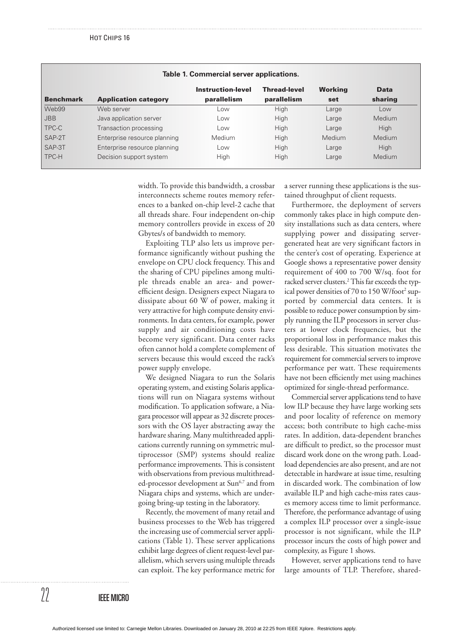#### HOT CHIPS 16

| Table 1. Commercial server applications. |                              |                          |                     |                |               |
|------------------------------------------|------------------------------|--------------------------|---------------------|----------------|---------------|
|                                          |                              | <b>Instruction-level</b> | <b>Thread-level</b> | <b>Working</b> | <b>Data</b>   |
| <b>Benchmark</b>                         | <b>Application category</b>  | parallelism              | parallelism         | set            | sharing       |
| Web99                                    | Web server                   | <b>LOW</b>               | High                | Large          | Low           |
| <b>JBB</b>                               | Java application server      | Low                      | High                | Large          | <b>Medium</b> |
| TPC-C                                    | Transaction processing       | Low                      | High                | Large          | High          |
| SAP-2T                                   | Enterprise resource planning | Medium                   | High                | Medium         | <b>Medium</b> |
| SAP-3T                                   | Enterprise resource planning | LOW                      | High                | Large          | High          |
| TPC-H                                    | Decision support system      | High                     | High                | Large          | Medium        |

width. To provide this bandwidth, a crossbar interconnects scheme routes memory references to a banked on-chip level-2 cache that all threads share. Four independent on-chip memory controllers provide in excess of 20 Gbytes/s of bandwidth to memory.

Exploiting TLP also lets us improve performance significantly without pushing the envelope on CPU clock frequency. This and the sharing of CPU pipelines among multiple threads enable an area- and powerefficient design. Designers expect Niagara to dissipate about 60 W of power, making it very attractive for high compute density environments. In data centers, for example, power supply and air conditioning costs have become very significant. Data center racks often cannot hold a complete complement of servers because this would exceed the rack's power supply envelope.

We designed Niagara to run the Solaris operating system, and existing Solaris applications will run on Niagara systems without modification. To application software, a Niagara processor will appear as 32 discrete processors with the OS layer abstracting away the hardware sharing. Many multithreaded applications currently running on symmetric multiprocessor (SMP) systems should realize performance improvements. This is consistent with observations from previous multithreaded-processor development at Sun<sup>6,7</sup> and from Niagara chips and systems, which are undergoing bring-up testing in the laboratory.

Recently, the movement of many retail and business processes to the Web has triggered the increasing use of commercial server applications (Table 1). These server applications exhibit large degrees of client request-level parallelism, which servers using multiple threads can exploit. The key performance metric for a server running these applications is the sustained throughput of client requests.

Furthermore, the deployment of servers commonly takes place in high compute density installations such as data centers, where supplying power and dissipating servergenerated heat are very significant factors in the center's cost of operating. Experience at Google shows a representative power density requirement of 400 to 700 W/sq. foot for racked server clusters.<sup>2</sup> This far exceeds the typical power densities of 70 to 150 W/foot<sup>2</sup> supported by commercial data centers. It is possible to reduce power consumption by simply running the ILP processors in server clusters at lower clock frequencies, but the proportional loss in performance makes this less desirable. This situation motivates the requirement for commercial servers to improve performance per watt. These requirements have not been efficiently met using machines optimized for single-thread performance.

Commercial server applications tend to have low ILP because they have large working sets and poor locality of reference on memory access; both contribute to high cache-miss rates. In addition, data-dependent branches are difficult to predict, so the processor must discard work done on the wrong path. Loadload dependencies are also present, and are not detectable in hardware at issue time, resulting in discarded work. The combination of low available ILP and high cache-miss rates causes memory access time to limit performance. Therefore, the performance advantage of using a complex ILP processor over a single-issue processor is not significant, while the ILP processor incurs the costs of high power and complexity, as Figure 1 shows.

However, server applications tend to have large amounts of TLP. Therefore, shared-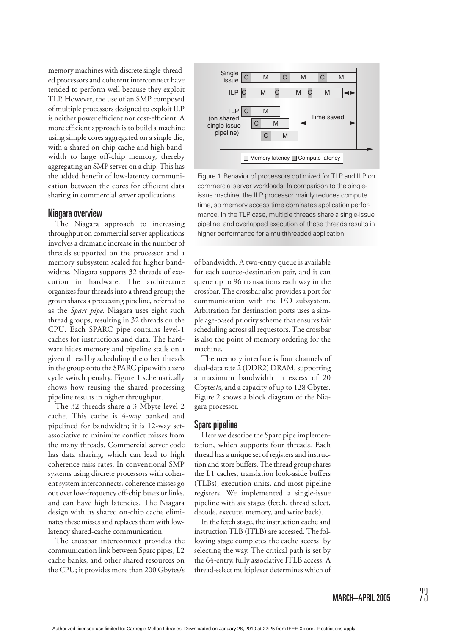memory machines with discrete single-threaded processors and coherent interconnect have tended to perform well because they exploit TLP. However, the use of an SMP composed of multiple processors designed to exploit ILP is neither power efficient nor cost-efficient. A more efficient approach is to build a machine using simple cores aggregated on a single die, with a shared on-chip cache and high bandwidth to large off-chip memory, thereby aggregating an SMP server on a chip. This has the added benefit of low-latency communication between the cores for efficient data sharing in commercial server applications.

#### Niagara overview

The Niagara approach to increasing throughput on commercial server applications involves a dramatic increase in the number of threads supported on the processor and a memory subsystem scaled for higher bandwidths. Niagara supports 32 threads of execution in hardware. The architecture organizes four threads into a thread group; the group shares a processing pipeline, referred to as the *Sparc pipe.* Niagara uses eight such thread groups, resulting in 32 threads on the CPU. Each SPARC pipe contains level-1 caches for instructions and data. The hardware hides memory and pipeline stalls on a given thread by scheduling the other threads in the group onto the SPARC pipe with a zero cycle switch penalty. Figure 1 schematically shows how reusing the shared processing pipeline results in higher throughput.

The 32 threads share a 3-Mbyte level-2 cache. This cache is 4-way banked and pipelined for bandwidth; it is 12-way setassociative to minimize conflict misses from the many threads. Commercial server code has data sharing, which can lead to high coherence miss rates. In conventional SMP systems using discrete processors with coherent system interconnects, coherence misses go out over low-frequency off-chip buses or links, and can have high latencies. The Niagara design with its shared on-chip cache eliminates these misses and replaces them with lowlatency shared-cache communication.

The crossbar interconnect provides the communication link between Sparc pipes, L2 cache banks, and other shared resources on the CPU; it provides more than 200 Gbytes/s



Figure 1. Behavior of processors optimized for TLP and ILP on commercial server workloads. In comparison to the singleissue machine, the ILP processor mainly reduces compute time, so memory access time dominates application performance. In the TLP case, multiple threads share a single-issue pipeline, and overlapped execution of these threads results in higher performance for a multithreaded application.

of bandwidth. A two-entry queue is available for each source-destination pair, and it can queue up to 96 transactions each way in the crossbar. The crossbar also provides a port for communication with the I/O subsystem. Arbitration for destination ports uses a simple age-based priority scheme that ensures fair scheduling across all requestors. The crossbar is also the point of memory ordering for the machine.

The memory interface is four channels of dual-data rate 2 (DDR2) DRAM, supporting a maximum bandwidth in excess of 20 Gbytes/s, and a capacity of up to 128 Gbytes. Figure 2 shows a block diagram of the Niagara processor.

## Sparc pipeline

Here we describe the Sparc pipe implementation, which supports four threads. Each thread has a unique set of registers and instruction and store buffers. The thread group shares the L1 caches, translation look-aside buffers (TLBs), execution units, and most pipeline registers. We implemented a single-issue pipeline with six stages (fetch, thread select, decode, execute, memory, and write back).

In the fetch stage, the instruction cache and instruction TLB (ITLB) are accessed. The following stage completes the cache access by selecting the way. The critical path is set by the 64-entry, fully associative ITLB access. A thread-select multiplexer determines which of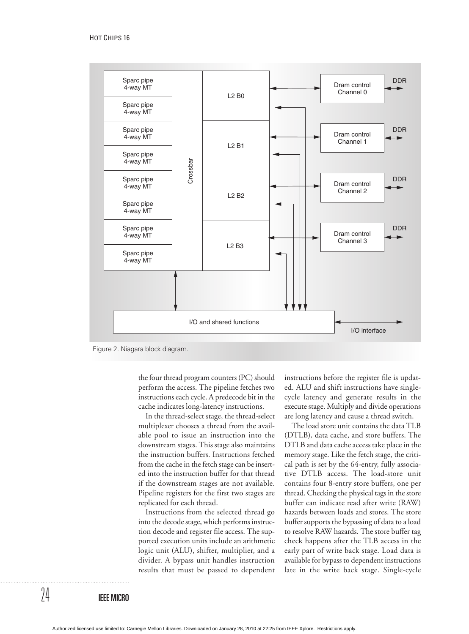

Figure 2. Niagara block diagram.

the four thread program counters (PC) should perform the access. The pipeline fetches two instructions each cycle. A predecode bit in the cache indicates long-latency instructions.

In the thread-select stage, the thread-select multiplexer chooses a thread from the available pool to issue an instruction into the downstream stages. This stage also maintains the instruction buffers. Instructions fetched from the cache in the fetch stage can be inserted into the instruction buffer for that thread if the downstream stages are not available. Pipeline registers for the first two stages are replicated for each thread.

Instructions from the selected thread go into the decode stage, which performs instruction decode and register file access. The supported execution units include an arithmetic logic unit (ALU), shifter, multiplier, and a divider. A bypass unit handles instruction results that must be passed to dependent

instructions before the register file is updated. ALU and shift instructions have singlecycle latency and generate results in the execute stage. Multiply and divide operations are long latency and cause a thread switch.

The load store unit contains the data TLB (DTLB), data cache, and store buffers. The DTLB and data cache access take place in the memory stage. Like the fetch stage, the critical path is set by the 64-entry, fully associative DTLB access. The load-store unit contains four 8-entry store buffers, one per thread. Checking the physical tags in the store buffer can indicate read after write (RAW) hazards between loads and stores. The store buffer supports the bypassing of data to a load to resolve RAW hazards. The store buffer tag check happens after the TLB access in the early part of write back stage. Load data is available for bypass to dependent instructions late in the write back stage. Single-cycle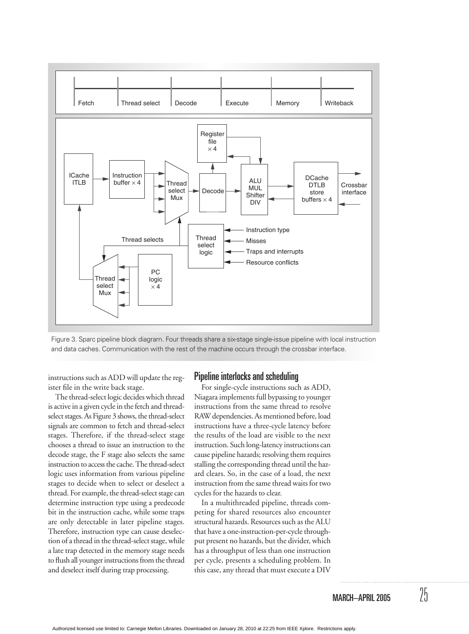

Figure 3. Sparc pipeline block diagram. Four threads share a six-stage single-issue pipeline with local instruction and data caches. Communication with the rest of the machine occurs through the crossbar interface.

instructions such as ADD will update the register file in the write back stage.

The thread-select logic decides which thread is active in a given cycle in the fetch and threadselect stages. As Figure 3 shows, the thread-select signals are common to fetch and thread-select stages. Therefore, if the thread-select stage chooses a thread to issue an instruction to the decode stage, the F stage also selects the same instruction to access the cache. The thread-select logic uses information from various pipeline stages to decide when to select or deselect a thread. For example, the thread-select stage can determine instruction type using a predecode bit in the instruction cache, while some traps are only detectable in later pipeline stages. Therefore, instruction type can cause deselection of a thread in the thread-select stage, while a late trap detected in the memory stage needs to flush all younger instructions from the thread and deselect itself during trap processing.

### Pipeline interlocks and scheduling

For single-cycle instructions such as ADD, Niagara implements full bypassing to younger instructions from the same thread to resolve RAW dependencies. As mentioned before, load instructions have a three-cycle latency before the results of the load are visible to the next instruction. Such long-latency instructions can cause pipeline hazards; resolving them requires stalling the corresponding thread until the hazard clears. So, in the case of a load, the next instruction from the same thread waits for two cycles for the hazards to clear.

In a multithreaded pipeline, threads competing for shared resources also encounter structural hazards. Resources such as the ALU that have a one-instruction-per-cycle throughput present no hazards, but the divider, which has a throughput of less than one instruction per cycle, presents a scheduling problem. In this case, any thread that must execute a DIV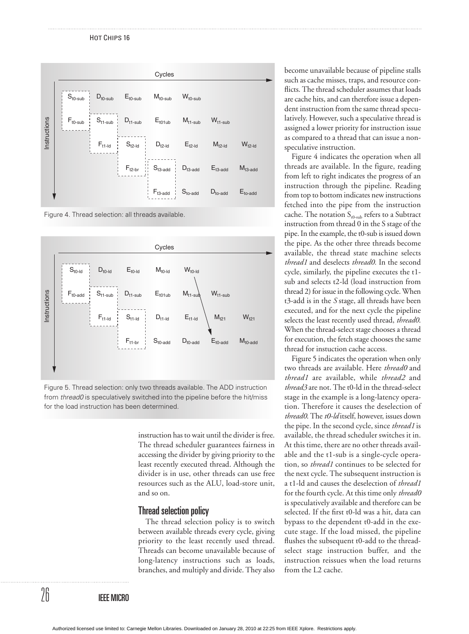#### HOT CHIPS 16



Figure 4. Thread selection: all threads available.



Figure 5. Thread selection: only two threads available. The ADD instruction from thread0 is speculatively switched into the pipeline before the hit/miss for the load instruction has been determined.

instruction has to wait until the divider is free. The thread scheduler guarantees fairness in accessing the divider by giving priority to the least recently executed thread. Although the divider is in use, other threads can use free resources such as the ALU, load-store unit, and so on.

# Thread selection policy

The thread selection policy is to switch between available threads every cycle, giving priority to the least recently used thread. Threads can become unavailable because of long-latency instructions such as loads, branches, and multiply and divide. They also

become unavailable because of pipeline stalls such as cache misses, traps, and resource conflicts. The thread scheduler assumes that loads are cache hits, and can therefore issue a dependent instruction from the same thread speculatively. However, such a speculative thread is assigned a lower priority for instruction issue as compared to a thread that can issue a nonspeculative instruction.

Figure 4 indicates the operation when all threads are available. In the figure, reading from left to right indicates the progress of an instruction through the pipeline. Reading from top to bottom indicates new instructions fetched into the pipe from the instruction cache. The notation  $S_{t0-sub}$  refers to a Subtract instruction from thread 0 in the S stage of the pipe. In the example, the t0-sub is issued down the pipe. As the other three threads become available, the thread state machine selects *thread1* and deselects *thread0.* In the second cycle, similarly, the pipeline executes the t1 sub and selects t2-ld (load instruction from thread 2) for issue in the following cycle. When t3-add is in the *S* stage, all threads have been executed, and for the next cycle the pipeline selects the least recently used thread, *thread0*. When the thread-select stage chooses a thread for execution, the fetch stage chooses the same thread for instuction cache access*.*

Figure 5 indicates the operation when only two threads are available. Here *thread0* and *thread1* are available, while *thread2* and *thread3* are not. The t0-ld in the thread-select stage in the example is a long-latency operation. Therefore it causes the deselection of *thread0*. The *t0-ld* itself, however, issues down the pipe. In the second cycle, since *thread1* is available, the thread scheduler switches it in. At this time, there are no other threads available and the t1-sub is a single-cycle operation, so *thread1* continues to be selected for the next cycle. The subsequent instruction is a t1-ld and causes the deselection of *thread1* for the fourth cycle. At this time only *thread0* is speculatively available and therefore can be selected. If the first t0-ld was a hit, data can bypass to the dependent t0-add in the execute stage. If the load missed, the pipeline flushes the subsequent t0-add to the threadselect stage instruction buffer, and the instruction reissues when the load returns from the L2 cache.

26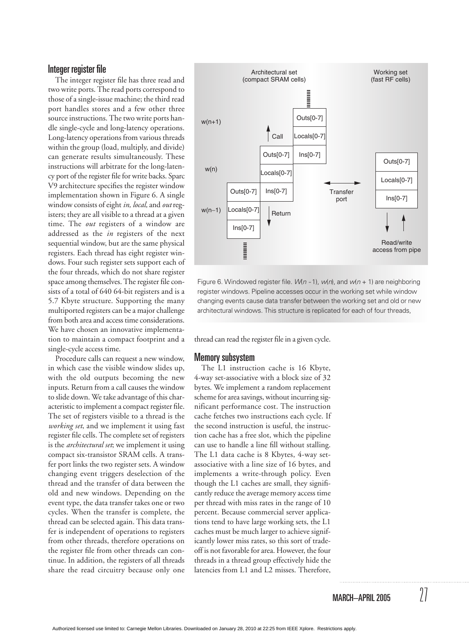#### Integer register file

The integer register file has three read and two write ports. The read ports correspond to those of a single-issue machine; the third read port handles stores and a few other three source instructions. The two write ports handle single-cycle and long-latency operations. Long-latency operations from various threads within the group (load, multiply, and divide) can generate results simultaneously. These instructions will arbitrate for the long-latency port of the register file for write backs. Sparc V9 architecture specifies the register window implementation shown in Figure 6. A single window consists of eight *in, local,* and *out* registers; they are all visible to a thread at a given time. The *out* registers of a window are addressed as the *in* registers of the next sequential window, but are the same physical registers. Each thread has eight register windows. Four such register sets support each of the four threads, which do not share register space among themselves. The register file consists of a total of 640 64-bit registers and is a 5.7 Kbyte structure. Supporting the many multiported registers can be a major challenge from both area and access time considerations. We have chosen an innovative implementation to maintain a compact footprint and a single-cycle access time.

Procedure calls can request a new window, in which case the visible window slides up, with the old outputs becoming the new inputs. Return from a call causes the window to slide down. We take advantage of this characteristic to implement a compact register file. The set of registers visible to a thread is the *working set*, and we implement it using fast register file cells. The complete set of registers is the *architectural set*; we implement it using compact six-transistor SRAM cells. A transfer port links the two register sets. A window changing event triggers deselection of the thread and the transfer of data between the old and new windows. Depending on the event type, the data transfer takes one or two cycles. When the transfer is complete, the thread can be selected again. This data transfer is independent of operations to registers from other threads, therefore operations on the register file from other threads can continue. In addition, the registers of all threads share the read circuitry because only one



Figure 6. Windowed register file.  $W(n - 1)$ ,  $W(n)$ , and  $W(n + 1)$  are neighboring register windows. Pipeline accesses occur in the working set while window changing events cause data transfer between the working set and old or new architectural windows. This structure is replicated for each of four threads,

thread can read the register file in a given cycle.

#### Memory subsystem

The L1 instruction cache is 16 Kbyte, 4-way set-associative with a block size of 32 bytes. We implement a random replacement scheme for area savings, without incurring significant performance cost. The instruction cache fetches two instructions each cycle. If the second instruction is useful, the instruction cache has a free slot, which the pipeline can use to handle a line fill without stalling. The L1 data cache is 8 Kbytes, 4-way setassociative with a line size of 16 bytes, and implements a write-through policy. Even though the L1 caches are small, they significantly reduce the average memory access time per thread with miss rates in the range of 10 percent. Because commercial server applications tend to have large working sets, the L1 caches must be much larger to achieve significantly lower miss rates, so this sort of tradeoff is not favorable for area. However, the four threads in a thread group effectively hide the latencies from L1 and L2 misses. Therefore,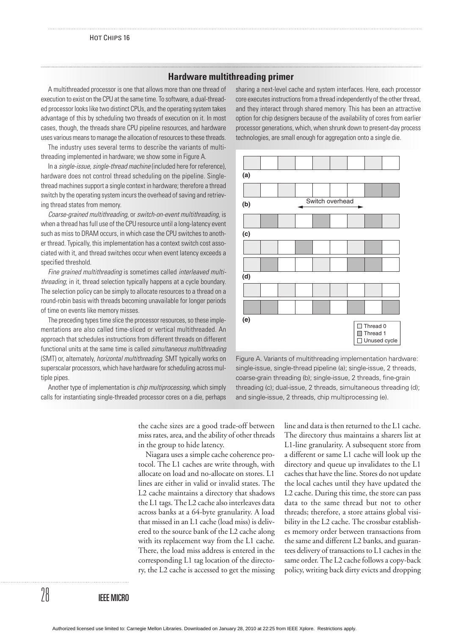#### **Hardware multithreading primer**

A multithreaded processor is one that allows more than one thread of execution to exist on the CPU at the same time. To software, a dual-threaded processor looks like two distinct CPUs, and the operating system takes advantage of this by scheduling two threads of execution on it. In most cases, though, the threads share CPU pipeline resources, and hardware uses various means to manage the allocation of resources to these threads.

The industry uses several terms to describe the variants of multithreading implemented in hardware; we show some in Figure A.

In a single-issue, single-thread machine (included here for reference), hardware does not control thread scheduling on the pipeline. Singlethread machines support a single context in hardware; therefore a thread switch by the operating system incurs the overhead of saving and retrieving thread states from memory.

Coarse-grained multithreading, or switch-on-event multithreading, is when a thread has full use of the CPU resource until a long-latency event such as miss to DRAM occurs, in which case the CPU switches to another thread. Typically, this implementation has a context switch cost associated with it, and thread switches occur when event latency exceeds a specified threshold.

Fine grained multithreading is sometimes called interleaved multithreading; in it, thread selection typically happens at a cycle boundary. The selection policy can be simply to allocate resources to a thread on a round-robin basis with threads becoming unavailable for longer periods of time on events like memory misses.

The preceding types time slice the processor resources, so these implementations are also called time-sliced or vertical multithreaded. An approach that schedules instructions from different threads on different functional units at the same time is called simultaneous multithreading (SMT) or, alternately, horizontal multithreading. SMT typically works on superscalar processors, which have hardware for scheduling across multiple pipes.

Another type of implementation is *chip multiprocessing*, which simply calls for instantiating single-threaded processor cores on a die, perhaps

sharing a next-level cache and system interfaces. Here, each processor core executes instructions from a thread independently of the other thread, and they interact through shared memory. This has been an attractive option for chip designers because of the availability of cores from earlier processor generations, which, when shrunk down to present-day process technologies, are small enough for aggregation onto a single die.





the cache sizes are a good trade-off between miss rates, area, and the ability of other threads in the group to hide latency.

Niagara uses a simple cache coherence protocol. The L1 caches are write through, with allocate on load and no-allocate on stores. L1 lines are either in valid or invalid states. The L2 cache maintains a directory that shadows the L1 tags. The L2 cache also interleaves data across banks at a 64-byte granularity. A load that missed in an L1 cache (load miss) is delivered to the source bank of the L2 cache along with its replacement way from the L1 cache. There, the load miss address is entered in the corresponding L1 tag location of the directory, the L2 cache is accessed to get the missing line and data is then returned to the L1 cache. The directory thus maintains a sharers list at L1-line granularity. A subsequent store from a different or same L1 cache will look up the directory and queue up invalidates to the L1 caches that have the line. Stores do not update the local caches until they have updated the L2 cache. During this time, the store can pass data to the same thread but not to other threads; therefore, a store attains global visibility in the L2 cache. The crossbar establishes memory order between transactions from the same and different L2 banks, and guarantees delivery of transactions to L1 caches in the same order. The L2 cache follows a copy-back policy, writing back dirty evicts and dropping